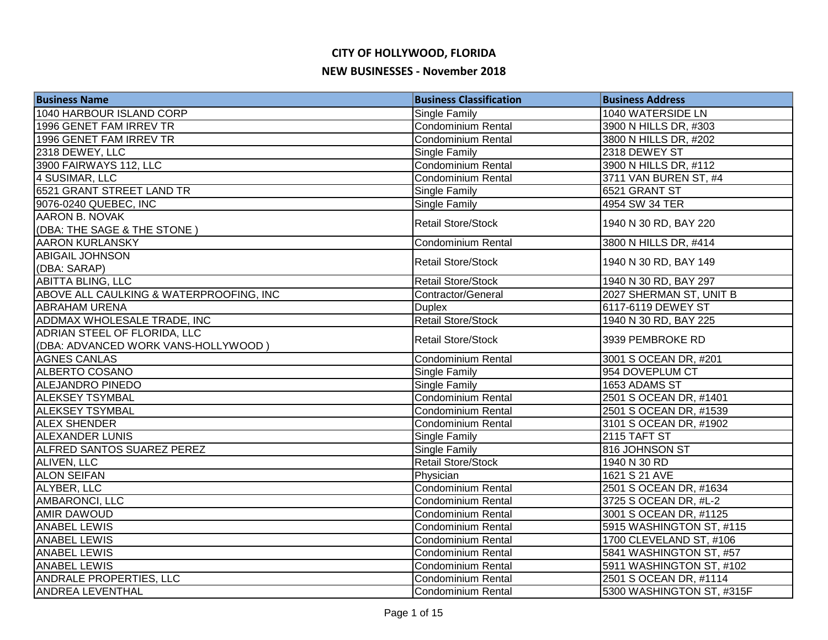| <b>Business Name</b>                    | <b>Business Classification</b> | <b>Business Address</b>   |
|-----------------------------------------|--------------------------------|---------------------------|
| 1040 HARBOUR ISLAND CORP                | <b>Single Family</b>           | 1040 WATERSIDE LN         |
| 1996 GENET FAM IRREV TR                 | Condominium Rental             | 3900 N HILLS DR, #303     |
| 1996 GENET FAM IRREV TR                 | Condominium Rental             | 3800 N HILLS DR, #202     |
| 2318 DEWEY, LLC                         | Single Family                  | 2318 DEWEY ST             |
| 3900 FAIRWAYS 112, LLC                  | <b>Condominium Rental</b>      | 3900 N HILLS DR, #112     |
| 4 SUSIMAR, LLC                          | <b>Condominium Rental</b>      | 3711 VAN BUREN ST, #4     |
| 6521 GRANT STREET LAND TR               | <b>Single Family</b>           | 6521 GRANT ST             |
| 9076-0240 QUEBEC, INC                   | <b>Single Family</b>           | 4954 SW 34 TER            |
| <b>AARON B. NOVAK</b>                   | <b>Retail Store/Stock</b>      |                           |
| (DBA: THE SAGE & THE STONE)             |                                | 1940 N 30 RD, BAY 220     |
| <b>AARON KURLANSKY</b>                  | <b>Condominium Rental</b>      | 3800 N HILLS DR, #414     |
| <b>ABIGAIL JOHNSON</b>                  | <b>Retail Store/Stock</b>      | 1940 N 30 RD, BAY 149     |
| (DBA: SARAP)                            |                                |                           |
| <b>ABITTA BLING, LLC</b>                | <b>Retail Store/Stock</b>      | 1940 N 30 RD, BAY 297     |
| ABOVE ALL CAULKING & WATERPROOFING, INC | Contractor/General             | 2027 SHERMAN ST, UNIT B   |
| <b>ABRAHAM URENA</b>                    | <b>Duplex</b>                  | 6117-6119 DEWEY ST        |
| ADDMAX WHOLESALE TRADE, INC             | <b>Retail Store/Stock</b>      | 1940 N 30 RD, BAY 225     |
| ADRIAN STEEL OF FLORIDA, LLC            | <b>Retail Store/Stock</b>      | 3939 PEMBROKE RD          |
| (DBA: ADVANCED WORK VANS-HOLLYWOOD)     |                                |                           |
| <b>AGNES CANLAS</b>                     | Condominium Rental             | 3001 S OCEAN DR, #201     |
| <b>ALBERTO COSANO</b>                   | <b>Single Family</b>           | 954 DOVEPLUM CT           |
| ALEJANDRO PINEDO                        | <b>Single Family</b>           | 1653 ADAMS ST             |
| <b>ALEKSEY TSYMBAL</b>                  | Condominium Rental             | 2501 S OCEAN DR, #1401    |
| <b>ALEKSEY TSYMBAL</b>                  | <b>Condominium Rental</b>      | 2501 S OCEAN DR, #1539    |
| <b>ALEX SHENDER</b>                     | <b>Condominium Rental</b>      | 3101 S OCEAN DR, #1902    |
| <b>ALEXANDER LUNIS</b>                  | <b>Single Family</b>           | 2115 TAFT ST              |
| <b>ALFRED SANTOS SUAREZ PEREZ</b>       | <b>Single Family</b>           | 816 JOHNSON ST            |
| <b>ALIVEN, LLC</b>                      | <b>Retail Store/Stock</b>      | 1940 N 30 RD              |
| <b>ALON SEIFAN</b>                      | Physician                      | 1621 S 21 AVE             |
| ALYBER, LLC                             | <b>Condominium Rental</b>      | 2501 S OCEAN DR, #1634    |
| <b>AMBARONCI, LLC</b>                   | <b>Condominium Rental</b>      | 3725 S OCEAN DR, #L-2     |
| <b>AMIR DAWOUD</b>                      | Condominium Rental             | 3001 S OCEAN DR, #1125    |
| <b>ANABEL LEWIS</b>                     | Condominium Rental             | 5915 WASHINGTON ST, #115  |
| <b>ANABEL LEWIS</b>                     | <b>Condominium Rental</b>      | 1700 CLEVELAND ST, #106   |
| <b>ANABEL LEWIS</b>                     | Condominium Rental             | 5841 WASHINGTON ST, #57   |
| <b>ANABEL LEWIS</b>                     | Condominium Rental             | 5911 WASHINGTON ST, #102  |
| ANDRALE PROPERTIES, LLC                 | <b>Condominium Rental</b>      | 2501 S OCEAN DR, #1114    |
| <b>ANDREA LEVENTHAL</b>                 | Condominium Rental             | 5300 WASHINGTON ST, #315F |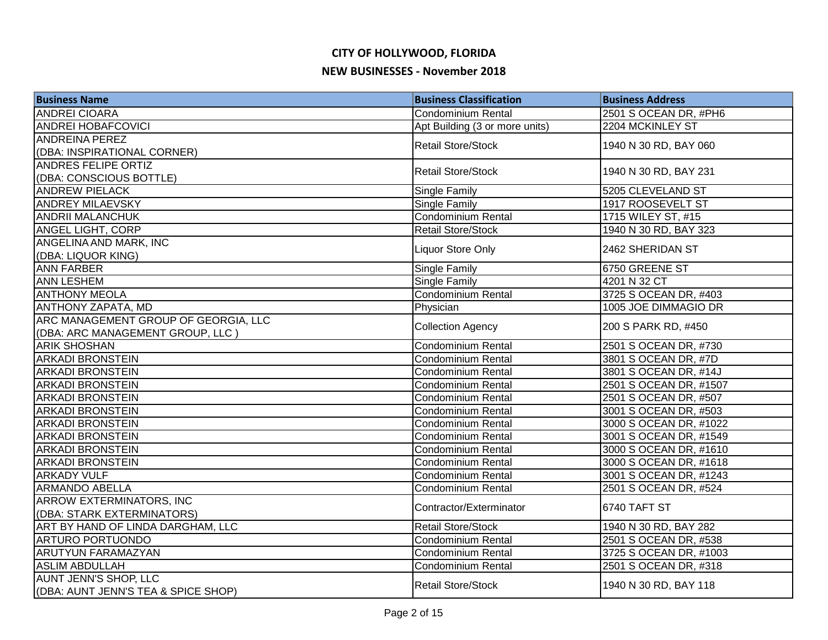| <b>Business Name</b>                 | <b>Business Classification</b> | <b>Business Address</b> |
|--------------------------------------|--------------------------------|-------------------------|
| <b>ANDREI CIOARA</b>                 | <b>Condominium Rental</b>      | 2501 S OCEAN DR, #PH6   |
| <b>ANDREI HOBAFCOVICI</b>            | Apt Building (3 or more units) | 2204 MCKINLEY ST        |
| <b>ANDREINA PEREZ</b>                | <b>Retail Store/Stock</b>      | 1940 N 30 RD, BAY 060   |
| (DBA: INSPIRATIONAL CORNER)          |                                |                         |
| <b>ANDRES FELIPE ORTIZ</b>           | <b>Retail Store/Stock</b>      | 1940 N 30 RD, BAY 231   |
| (DBA: CONSCIOUS BOTTLE)              |                                |                         |
| <b>ANDREW PIELACK</b>                | <b>Single Family</b>           | 5205 CLEVELAND ST       |
| <b>ANDREY MILAEVSKY</b>              | <b>Single Family</b>           | 1917 ROOSEVELT ST       |
| <b>ANDRII MALANCHUK</b>              | Condominium Rental             | 1715 WILEY ST, #15      |
| <b>ANGEL LIGHT, CORP</b>             | <b>Retail Store/Stock</b>      | 1940 N 30 RD, BAY 323   |
| ANGELINA AND MARK, INC               |                                | 2462 SHERIDAN ST        |
| (DBA: LIQUOR KING)                   | Liquor Store Only              |                         |
| <b>ANN FARBER</b>                    | Single Family                  | 6750 GREENE ST          |
| <b>ANN LESHEM</b>                    | Single Family                  | 4201 N 32 CT            |
| <b>ANTHONY MEOLA</b>                 | Condominium Rental             | 3725 S OCEAN DR, #403   |
| ANTHONY ZAPATA, MD                   | Physician                      | 1005 JOE DIMMAGIO DR    |
| ARC MANAGEMENT GROUP OF GEORGIA, LLC | <b>Collection Agency</b>       | 200 S PARK RD, #450     |
| (DBA: ARC MANAGEMENT GROUP, LLC)     |                                |                         |
| <b>ARIK SHOSHAN</b>                  | Condominium Rental             | 2501 S OCEAN DR, #730   |
| <b>ARKADI BRONSTEIN</b>              | Condominium Rental             | 3801 S OCEAN DR, #7D    |
| <b>ARKADI BRONSTEIN</b>              | Condominium Rental             | 3801 S OCEAN DR, #14J   |
| <b>ARKADI BRONSTEIN</b>              | Condominium Rental             | 2501 S OCEAN DR, #1507  |
| <b>ARKADI BRONSTEIN</b>              | <b>Condominium Rental</b>      | 2501 S OCEAN DR, #507   |
| <b>ARKADI BRONSTEIN</b>              | <b>Condominium Rental</b>      | 3001 S OCEAN DR, #503   |
| <b>ARKADI BRONSTEIN</b>              | <b>Condominium Rental</b>      | 3000 S OCEAN DR, #1022  |
| <b>ARKADI BRONSTEIN</b>              | <b>Condominium Rental</b>      | 3001 S OCEAN DR, #1549  |
| <b>ARKADI BRONSTEIN</b>              | <b>Condominium Rental</b>      | 3000 S OCEAN DR, #1610  |
| <b>ARKADI BRONSTEIN</b>              | <b>Condominium Rental</b>      | 3000 S OCEAN DR, #1618  |
| <b>ARKADY VULF</b>                   | Condominium Rental             | 3001 S OCEAN DR, #1243  |
| <b>ARMANDO ABELLA</b>                | Condominium Rental             | 2501 S OCEAN DR, #524   |
| <b>ARROW EXTERMINATORS, INC</b>      | Contractor/Exterminator        | 6740 TAFT ST            |
| (DBA: STARK EXTERMINATORS)           |                                |                         |
| ART BY HAND OF LINDA DARGHAM, LLC    | <b>Retail Store/Stock</b>      | 1940 N 30 RD, BAY 282   |
| <b>ARTURO PORTUONDO</b>              | Condominium Rental             | 2501 S OCEAN DR, #538   |
| <b>ARUTYUN FARAMAZYAN</b>            | <b>Condominium Rental</b>      | 3725 S OCEAN DR, #1003  |
| <b>ASLIM ABDULLAH</b>                | <b>Condominium Rental</b>      | 2501 S OCEAN DR, #318   |
| <b>AUNT JENN'S SHOP, LLC</b>         | <b>Retail Store/Stock</b>      | 1940 N 30 RD, BAY 118   |
| (DBA: AUNT JENN'S TEA & SPICE SHOP)  |                                |                         |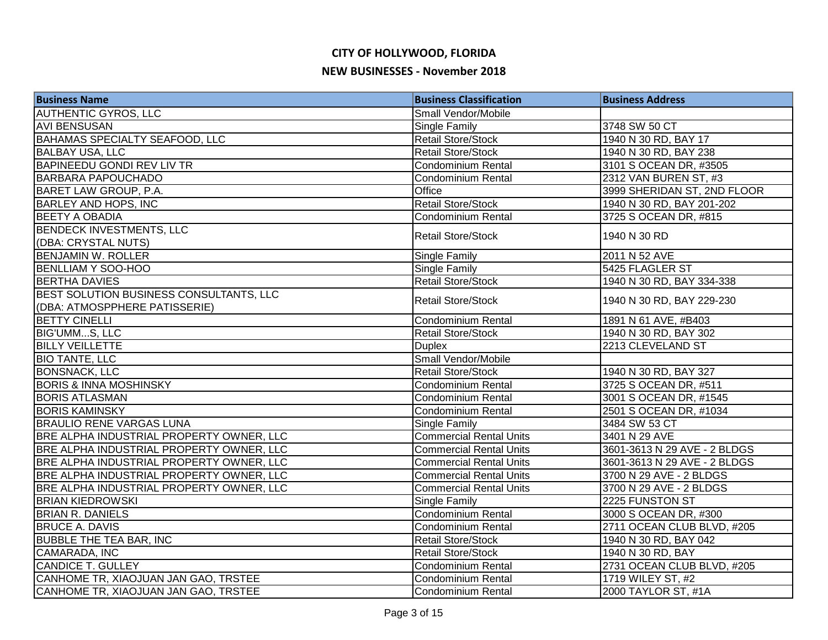| <b>Business Name</b>                     | <b>Business Classification</b> | <b>Business Address</b>      |
|------------------------------------------|--------------------------------|------------------------------|
| <b>AUTHENTIC GYROS, LLC</b>              | Small Vendor/Mobile            |                              |
| <b>AVI BENSUSAN</b>                      | Single Family                  | 3748 SW 50 CT                |
| <b>BAHAMAS SPECIALTY SEAFOOD, LLC</b>    | <b>Retail Store/Stock</b>      | 1940 N 30 RD, BAY 17         |
| <b>BALBAY USA, LLC</b>                   | Retail Store/Stock             | 1940 N 30 RD, BAY 238        |
| <b>BAPINEEDU GONDI REV LIV TR</b>        | <b>Condominium Rental</b>      | 3101 S OCEAN DR, #3505       |
| <b>BARBARA PAPOUCHADO</b>                | <b>Condominium Rental</b>      | 2312 VAN BUREN ST, #3        |
| BARET LAW GROUP, P.A.                    | Office                         | 3999 SHERIDAN ST, 2ND FLOOR  |
| <b>BARLEY AND HOPS, INC</b>              | <b>Retail Store/Stock</b>      | 1940 N 30 RD, BAY 201-202    |
| <b>BEETY A OBADIA</b>                    | Condominium Rental             | 3725 S OCEAN DR, #815        |
| <b>BENDECK INVESTMENTS, LLC</b>          |                                | 1940 N 30 RD                 |
| (DBA: CRYSTAL NUTS)                      | <b>Retail Store/Stock</b>      |                              |
| <b>BENJAMIN W. ROLLER</b>                | Single Family                  | 2011 N 52 AVE                |
| <b>BENLLIAM Y SOO-HOO</b>                | Single Family                  | 5425 FLAGLER ST              |
| <b>BERTHA DAVIES</b>                     | <b>Retail Store/Stock</b>      | 1940 N 30 RD, BAY 334-338    |
| BEST SOLUTION BUSINESS CONSULTANTS, LLC  | <b>Retail Store/Stock</b>      | 1940 N 30 RD, BAY 229-230    |
| (DBA: ATMOSPPHERE PATISSERIE)            |                                |                              |
| <b>BETTY CINELLI</b>                     | <b>Condominium Rental</b>      | 1891 N 61 AVE, #B403         |
| <b>BIG'UMMS, LLC</b>                     | <b>Retail Store/Stock</b>      | 1940 N 30 RD, BAY 302        |
| <b>BILLY VEILLETTE</b>                   | <b>Duplex</b>                  | 2213 CLEVELAND ST            |
| <b>BIO TANTE, LLC</b>                    | Small Vendor/Mobile            |                              |
| <b>BONSNACK, LLC</b>                     | <b>Retail Store/Stock</b>      | 1940 N 30 RD, BAY 327        |
| <b>BORIS &amp; INNA MOSHINSKY</b>        | Condominium Rental             | 3725 S OCEAN DR, #511        |
| <b>BORIS ATLASMAN</b>                    | Condominium Rental             | 3001 S OCEAN DR, #1545       |
| <b>BORIS KAMINSKY</b>                    | <b>Condominium Rental</b>      | 2501 S OCEAN DR, #1034       |
| <b>BRAULIO RENE VARGAS LUNA</b>          | Single Family                  | 3484 SW 53 CT                |
| BRE ALPHA INDUSTRIAL PROPERTY OWNER, LLC | <b>Commercial Rental Units</b> | 3401 N 29 AVE                |
| BRE ALPHA INDUSTRIAL PROPERTY OWNER, LLC | <b>Commercial Rental Units</b> | 3601-3613 N 29 AVE - 2 BLDGS |
| BRE ALPHA INDUSTRIAL PROPERTY OWNER, LLC | <b>Commercial Rental Units</b> | 3601-3613 N 29 AVE - 2 BLDGS |
| BRE ALPHA INDUSTRIAL PROPERTY OWNER, LLC | <b>Commercial Rental Units</b> | 3700 N 29 AVE - 2 BLDGS      |
| BRE ALPHA INDUSTRIAL PROPERTY OWNER, LLC | <b>Commercial Rental Units</b> | 3700 N 29 AVE - 2 BLDGS      |
| <b>BRIAN KIEDROWSKI</b>                  | Single Family                  | 2225 FUNSTON ST              |
| <b>BRIAN R. DANIELS</b>                  | Condominium Rental             | 3000 S OCEAN DR, #300        |
| <b>BRUCE A. DAVIS</b>                    | Condominium Rental             | 2711 OCEAN CLUB BLVD, #205   |
| <b>BUBBLE THE TEA BAR, INC</b>           | <b>Retail Store/Stock</b>      | 1940 N 30 RD, BAY 042        |
| CAMARADA, INC                            | <b>Retail Store/Stock</b>      | 1940 N 30 RD, BAY            |
| CANDICE T. GULLEY                        | Condominium Rental             | 2731 OCEAN CLUB BLVD, #205   |
| CANHOME TR, XIAOJUAN JAN GAO, TRSTEE     | <b>Condominium Rental</b>      | 1719 WILEY ST, #2            |
| CANHOME TR, XIAOJUAN JAN GAO, TRSTEE     | Condominium Rental             | 2000 TAYLOR ST, #1A          |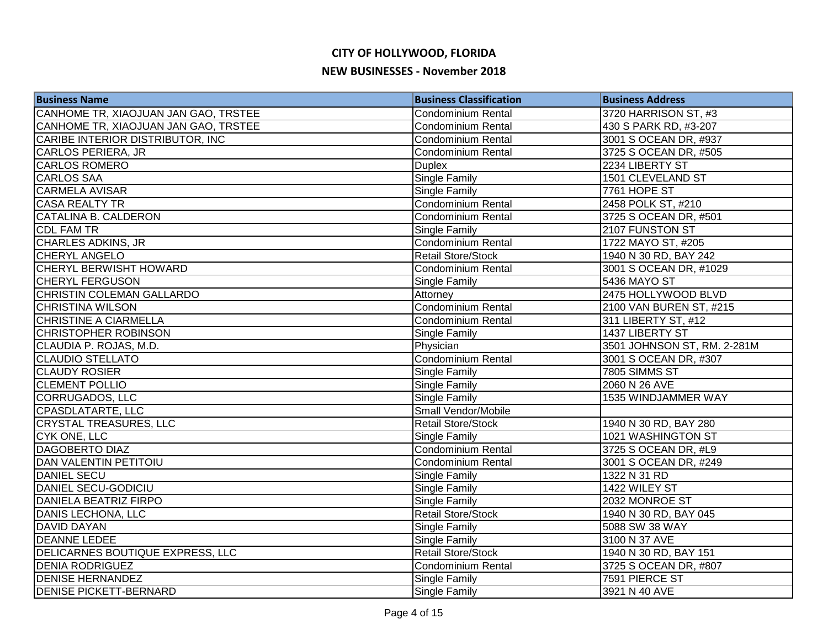| <b>Business Name</b>                 | <b>Business Classification</b> | <b>Business Address</b>     |
|--------------------------------------|--------------------------------|-----------------------------|
| CANHOME TR, XIAOJUAN JAN GAO, TRSTEE | Condominium Rental             | 3720 HARRISON ST, #3        |
| CANHOME TR, XIAOJUAN JAN GAO, TRSTEE | <b>Condominium Rental</b>      | 430 S PARK RD, #3-207       |
| CARIBE INTERIOR DISTRIBUTOR, INC     | <b>Condominium Rental</b>      | 3001 S OCEAN DR, #937       |
| CARLOS PERIERA, JR                   | <b>Condominium Rental</b>      | 3725 S OCEAN DR, #505       |
| <b>CARLOS ROMERO</b>                 | <b>Duplex</b>                  | 2234 LIBERTY ST             |
| <b>CARLOS SAA</b>                    | <b>Single Family</b>           | 1501 CLEVELAND ST           |
| <b>CARMELA AVISAR</b>                | <b>Single Family</b>           | 7761 HOPE ST                |
| <b>CASA REALTY TR</b>                | Condominium Rental             | 2458 POLK ST, #210          |
| CATALINA B. CALDERON                 | Condominium Rental             | 3725 S OCEAN DR, #501       |
| <b>CDL FAM TR</b>                    | <b>Single Family</b>           | 2107 FUNSTON ST             |
| <b>CHARLES ADKINS, JR</b>            | Condominium Rental             | 1722 MAYO ST, #205          |
| <b>CHERYL ANGELO</b>                 | <b>Retail Store/Stock</b>      | 1940 N 30 RD, BAY 242       |
| CHERYL BERWISHT HOWARD               | <b>Condominium Rental</b>      | 3001 S OCEAN DR, #1029      |
| <b>CHERYL FERGUSON</b>               | <b>Single Family</b>           | 5436 MAYO ST                |
| CHRISTIN COLEMAN GALLARDO            | Attorney                       | 2475 HOLLYWOOD BLVD         |
| <b>CHRISTINA WILSON</b>              | Condominium Rental             | 2100 VAN BUREN ST, #215     |
| <b>CHRISTINE A CIARMELLA</b>         | <b>Condominium Rental</b>      | 311 LIBERTY ST, #12         |
| <b>CHRISTOPHER ROBINSON</b>          | Single Family                  | 1437 LIBERTY ST             |
| CLAUDIA P. ROJAS, M.D.               | Physician                      | 3501 JOHNSON ST, RM. 2-281M |
| <b>CLAUDIO STELLATO</b>              | Condominium Rental             | 3001 S OCEAN DR, #307       |
| <b>CLAUDY ROSIER</b>                 | <b>Single Family</b>           | 7805 SIMMS ST               |
| <b>CLEMENT POLLIO</b>                | <b>Single Family</b>           | 2060 N 26 AVE               |
| CORRUGADOS, LLC                      | Single Family                  | 1535 WINDJAMMER WAY         |
| <b>CPASDLATARTE, LLC</b>             | Small Vendor/Mobile            |                             |
| <b>CRYSTAL TREASURES, LLC</b>        | <b>Retail Store/Stock</b>      | 1940 N 30 RD, BAY 280       |
| <b>CYK ONE, LLC</b>                  | <b>Single Family</b>           | 1021 WASHINGTON ST          |
| <b>DAGOBERTO DIAZ</b>                | Condominium Rental             | 3725 S OCEAN DR, #L9        |
| <b>DAN VALENTIN PETITOIU</b>         | <b>Condominium Rental</b>      | 3001 S OCEAN DR, #249       |
| <b>DANIEL SECU</b>                   | <b>Single Family</b>           | 1322 N 31 RD                |
| <b>DANIEL SECU-GODICIU</b>           | <b>Single Family</b>           | 1422 WILEY ST               |
| <b>DANIELA BEATRIZ FIRPO</b>         | <b>Single Family</b>           | 2032 MONROE ST              |
| DANIS LECHONA, LLC                   | <b>Retail Store/Stock</b>      | 1940 N 30 RD, BAY 045       |
| <b>DAVID DAYAN</b>                   | Single Family                  | 5088 SW 38 WAY              |
| <b>DEANNE LEDEE</b>                  | <b>Single Family</b>           | 3100 N 37 AVE               |
| DELICARNES BOUTIQUE EXPRESS, LLC     | <b>Retail Store/Stock</b>      | 1940 N 30 RD, BAY 151       |
| <b>DENIA RODRIGUEZ</b>               | Condominium Rental             | 3725 S OCEAN DR, #807       |
| <b>DENISE HERNANDEZ</b>              | <b>Single Family</b>           | 7591 PIERCE ST              |
| <b>DENISE PICKETT-BERNARD</b>        | <b>Single Family</b>           | 3921 N 40 AVE               |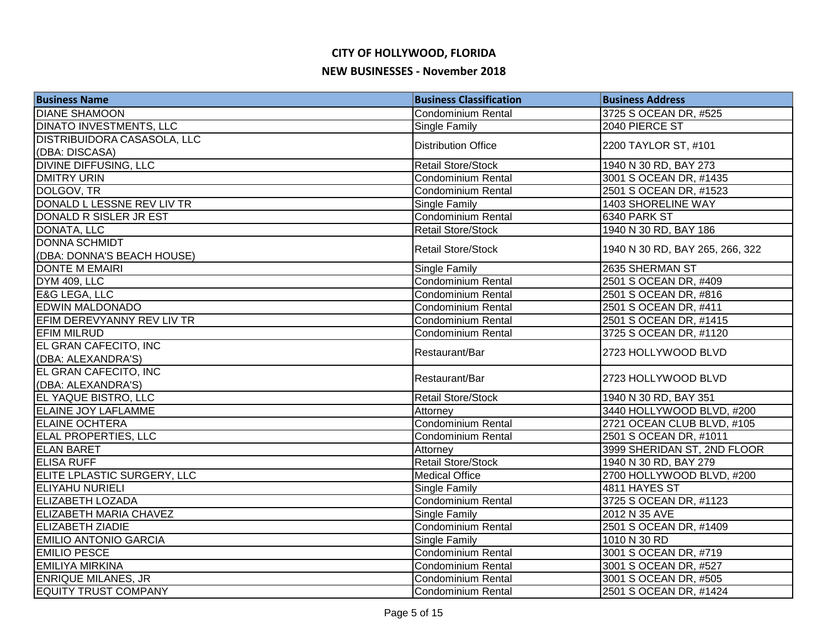| <b>Business Name</b>               | <b>Business Classification</b> | <b>Business Address</b>         |
|------------------------------------|--------------------------------|---------------------------------|
| <b>DIANE SHAMOON</b>               | Condominium Rental             | 3725 S OCEAN DR, #525           |
| <b>DINATO INVESTMENTS, LLC</b>     | Single Family                  | 2040 PIERCE ST                  |
| DISTRIBUIDORA CASASOLA, LLC        | <b>Distribution Office</b>     | 2200 TAYLOR ST, #101            |
| (DBA: DISCASA)                     |                                |                                 |
| <b>DIVINE DIFFUSING, LLC</b>       | <b>Retail Store/Stock</b>      | 1940 N 30 RD, BAY 273           |
| <b>DMITRY URIN</b>                 | <b>Condominium Rental</b>      | 3001 S OCEAN DR, #1435          |
| DOLGOV, TR                         | Condominium Rental             | 2501 S OCEAN DR, #1523          |
| DONALD L LESSNE REV LIV TR         | <b>Single Family</b>           | 1403 SHORELINE WAY              |
| DONALD R SISLER JR EST             | <b>Condominium Rental</b>      | 6340 PARK ST                    |
| DONATA, LLC                        | Retail Store/Stock             | 1940 N 30 RD, BAY 186           |
| <b>DONNA SCHMIDT</b>               | <b>Retail Store/Stock</b>      | 1940 N 30 RD, BAY 265, 266, 322 |
| (DBA: DONNA'S BEACH HOUSE)         |                                |                                 |
| <b>DONTE M EMAIRI</b>              | Single Family                  | 2635 SHERMAN ST                 |
| DYM 409, LLC                       | Condominium Rental             | 2501 S OCEAN DR, #409           |
| <b>E&amp;G LEGA, LLC</b>           | Condominium Rental             | 2501 S OCEAN DR, #816           |
| <b>EDWIN MALDONADO</b>             | <b>Condominium Rental</b>      | 2501 S OCEAN DR, #411           |
| EFIM DEREVYANNY REV LIV TR         | Condominium Rental             | 2501 S OCEAN DR, #1415          |
| <b>EFIM MILRUD</b>                 | Condominium Rental             | 3725 S OCEAN DR, #1120          |
| EL GRAN CAFECITO, INC              | Restaurant/Bar                 | 2723 HOLLYWOOD BLVD             |
| (DBA: ALEXANDRA'S)                 |                                |                                 |
| EL GRAN CAFECITO, INC              | Restaurant/Bar                 | 2723 HOLLYWOOD BLVD             |
| (DBA: ALEXANDRA'S)                 |                                |                                 |
| EL YAQUE BISTRO, LLC               | Retail Store/Stock             | 1940 N 30 RD, BAY 351           |
| <b>ELAINE JOY LAFLAMME</b>         | Attorney                       | 3440 HOLLYWOOD BLVD, #200       |
| <b>ELAINE OCHTERA</b>              | <b>Condominium Rental</b>      | 2721 OCEAN CLUB BLVD, #105      |
| <b>ELAL PROPERTIES, LLC</b>        | <b>Condominium Rental</b>      | 2501 S OCEAN DR, #1011          |
| <b>ELAN BARET</b>                  | Attorney                       | 3999 SHERIDAN ST, 2ND FLOOR     |
| <b>ELISA RUFF</b>                  | <b>Retail Store/Stock</b>      | 1940 N 30 RD, BAY 279           |
| <b>ELITE LPLASTIC SURGERY, LLC</b> | <b>Medical Office</b>          | 2700 HOLLYWOOD BLVD, #200       |
| <b>ELIYAHU NURIELI</b>             | Single Family                  | 4811 HAYES ST                   |
| <b>ELIZABETH LOZADA</b>            | Condominium Rental             | 3725 S OCEAN DR, #1123          |
| <b>ELIZABETH MARIA CHAVEZ</b>      | <b>Single Family</b>           | 2012 N 35 AVE                   |
| <b>ELIZABETH ZIADIE</b>            | Condominium Rental             | 2501 S OCEAN DR, #1409          |
| <b>EMILIO ANTONIO GARCIA</b>       | <b>Single Family</b>           | 1010 N 30 RD                    |
| <b>EMILIO PESCE</b>                | Condominium Rental             | 3001 S OCEAN DR, #719           |
| <b>EMILIYA MIRKINA</b>             | Condominium Rental             | 3001 S OCEAN DR, #527           |
| <b>ENRIQUE MILANES, JR</b>         | <b>Condominium Rental</b>      | 3001 S OCEAN DR, #505           |
| <b>EQUITY TRUST COMPANY</b>        | Condominium Rental             | 2501 S OCEAN DR, #1424          |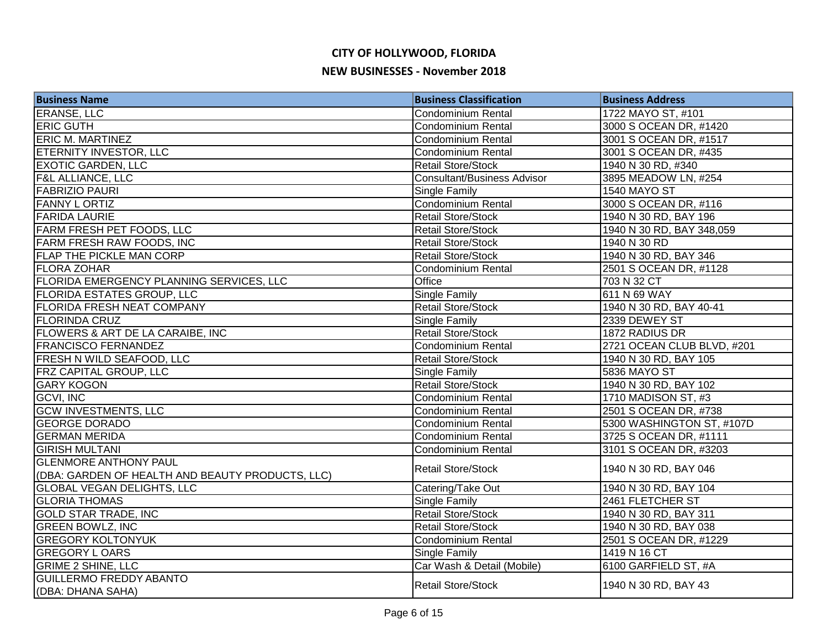| <b>Business Name</b>                             | <b>Business Classification</b>     | <b>Business Address</b>    |
|--------------------------------------------------|------------------------------------|----------------------------|
| <b>ERANSE, LLC</b>                               | Condominium Rental                 | 1722 MAYO ST, #101         |
| <b>ERIC GUTH</b>                                 | <b>Condominium Rental</b>          | 3000 S OCEAN DR, #1420     |
| <b>ERIC M. MARTINEZ</b>                          | Condominium Rental                 | 3001 S OCEAN DR, #1517     |
| <b>ETERNITY INVESTOR, LLC</b>                    | <b>Condominium Rental</b>          | 3001 S OCEAN DR, #435      |
| <b>EXOTIC GARDEN, LLC</b>                        | <b>Retail Store/Stock</b>          | 1940 N 30 RD, #340         |
| <b>F&amp;L ALLIANCE, LLC</b>                     | <b>Consultant/Business Advisor</b> | 3895 MEADOW LN, #254       |
| <b>FABRIZIO PAURI</b>                            | <b>Single Family</b>               | <b>1540 MAYO ST</b>        |
| <b>FANNY LORTIZ</b>                              | <b>Condominium Rental</b>          | 3000 S OCEAN DR, #116      |
| <b>FARIDA LAURIE</b>                             | <b>Retail Store/Stock</b>          | 1940 N 30 RD, BAY 196      |
| <b>FARM FRESH PET FOODS, LLC</b>                 | <b>Retail Store/Stock</b>          | 1940 N 30 RD, BAY 348,059  |
| FARM FRESH RAW FOODS, INC                        | <b>Retail Store/Stock</b>          | 1940 N 30 RD               |
| <b>FLAP THE PICKLE MAN CORP</b>                  | <b>Retail Store/Stock</b>          | 1940 N 30 RD, BAY 346      |
| <b>FLORA ZOHAR</b>                               | <b>Condominium Rental</b>          | 2501 S OCEAN DR, #1128     |
| <b>FLORIDA EMERGENCY PLANNING SERVICES, LLC</b>  | Office                             | 703 N 32 CT                |
| <b>FLORIDA ESTATES GROUP, LLC</b>                | Single Family                      | 611 N 69 WAY               |
| <b>FLORIDA FRESH NEAT COMPANY</b>                | <b>Retail Store/Stock</b>          | 1940 N 30 RD, BAY 40-41    |
| <b>FLORINDA CRUZ</b>                             | <b>Single Family</b>               | 2339 DEWEY ST              |
| <b>FLOWERS &amp; ART DE LA CARAIBE, INC</b>      | <b>Retail Store/Stock</b>          | 1872 RADIUS DR             |
| <b>FRANCISCO FERNANDEZ</b>                       | Condominium Rental                 | 2721 OCEAN CLUB BLVD, #201 |
| <b>FRESH N WILD SEAFOOD, LLC</b>                 | <b>Retail Store/Stock</b>          | 1940 N 30 RD, BAY 105      |
| <b>FRZ CAPITAL GROUP, LLC</b>                    | <b>Single Family</b>               | 5836 MAYO ST               |
| <b>GARY KOGON</b>                                | <b>Retail Store/Stock</b>          | 1940 N 30 RD, BAY 102      |
| <b>GCVI, INC</b>                                 | <b>Condominium Rental</b>          | 1710 MADISON ST, #3        |
| <b>GCW INVESTMENTS, LLC</b>                      | <b>Condominium Rental</b>          | 2501 S OCEAN DR, #738      |
| <b>GEORGE DORADO</b>                             | <b>Condominium Rental</b>          | 5300 WASHINGTON ST, #107D  |
| <b>GERMAN MERIDA</b>                             | Condominium Rental                 | 3725 S OCEAN DR, #1111     |
| <b>GIRISH MULTANI</b>                            | <b>Condominium Rental</b>          | 3101 S OCEAN DR, #3203     |
| <b>GLENMORE ANTHONY PAUL</b>                     |                                    |                            |
| (DBA: GARDEN OF HEALTH AND BEAUTY PRODUCTS, LLC) | <b>Retail Store/Stock</b>          | 1940 N 30 RD, BAY 046      |
| <b>GLOBAL VEGAN DELIGHTS, LLC</b>                | Catering/Take Out                  | 1940 N 30 RD, BAY 104      |
| <b>GLORIA THOMAS</b>                             | <b>Single Family</b>               | 2461 FLETCHER ST           |
| <b>GOLD STAR TRADE, INC</b>                      | <b>Retail Store/Stock</b>          | 1940 N 30 RD, BAY 311      |
| <b>GREEN BOWLZ, INC</b>                          | <b>Retail Store/Stock</b>          | 1940 N 30 RD, BAY 038      |
| <b>GREGORY KOLTONYUK</b>                         | Condominium Rental                 | 2501 S OCEAN DR, #1229     |
| <b>GREGORY L OARS</b>                            | <b>Single Family</b>               | 1419 N 16 CT               |
| <b>GRIME 2 SHINE, LLC</b>                        | Car Wash & Detail (Mobile)         | 6100 GARFIELD ST, #A       |
| <b>GUILLERMO FREDDY ABANTO</b>                   | <b>Retail Store/Stock</b>          | 1940 N 30 RD, BAY 43       |
| (DBA: DHANA SAHA)                                |                                    |                            |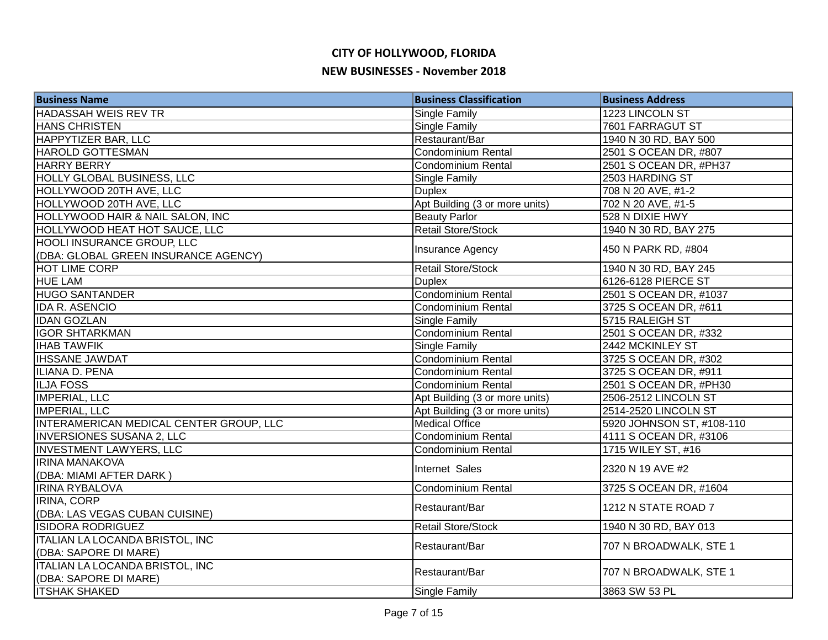| <b>Business Name</b>                             | <b>Business Classification</b> | <b>Business Address</b>   |
|--------------------------------------------------|--------------------------------|---------------------------|
| <b>HADASSAH WEIS REV TR</b>                      | Single Family                  | 1223 LINCOLN ST           |
| <b>HANS CHRISTEN</b>                             | <b>Single Family</b>           | 7601 FARRAGUT ST          |
| HAPPYTIZER BAR, LLC                              | Restaurant/Bar                 | 1940 N 30 RD, BAY 500     |
| <b>HAROLD GOTTESMAN</b>                          | <b>Condominium Rental</b>      | 2501 S OCEAN DR, #807     |
| <b>HARRY BERRY</b>                               | <b>Condominium Rental</b>      | 2501 S OCEAN DR, #PH37    |
| <b>HOLLY GLOBAL BUSINESS, LLC</b>                | <b>Single Family</b>           | 2503 HARDING ST           |
| HOLLYWOOD 20TH AVE, LLC                          | <b>Duplex</b>                  | 708 N 20 AVE, #1-2        |
| HOLLYWOOD 20TH AVE, LLC                          | Apt Building (3 or more units) | 702 N 20 AVE, #1-5        |
| HOLLYWOOD HAIR & NAIL SALON, INC                 | <b>Beauty Parlor</b>           | 528 N DIXIE HWY           |
| <b>HOLLYWOOD HEAT HOT SAUCE, LLC</b>             | <b>Retail Store/Stock</b>      | 1940 N 30 RD, BAY 275     |
| <b>HOOLI INSURANCE GROUP, LLC</b>                | Insurance Agency               | 450 N PARK RD, #804       |
| (DBA: GLOBAL GREEN INSURANCE AGENCY)             |                                |                           |
| <b>HOT LIME CORP</b>                             | Retail Store/Stock             | 1940 N 30 RD, BAY 245     |
| <b>HUE LAM</b>                                   | <b>Duplex</b>                  | 6126-6128 PIERCE ST       |
| <b>HUGO SANTANDER</b>                            | Condominium Rental             | 2501 S OCEAN DR, #1037    |
| <b>IDA R. ASENCIO</b>                            | <b>Condominium Rental</b>      | 3725 S OCEAN DR, #611     |
| <b>IDAN GOZLAN</b>                               | Single Family                  | 5715 RALEIGH ST           |
| <b>IGOR SHTARKMAN</b>                            | Condominium Rental             | 2501 S OCEAN DR, #332     |
| <b>IHAB TAWFIK</b>                               | <b>Single Family</b>           | 2442 MCKINLEY ST          |
| <b>IHSSANE JAWDAT</b>                            | Condominium Rental             | 3725 S OCEAN DR, #302     |
| ILIANA D. PENA                                   | Condominium Rental             | 3725 S OCEAN DR, #911     |
| <b>ILJA FOSS</b>                                 | Condominium Rental             | 2501 S OCEAN DR, #PH30    |
| <b>IMPERIAL, LLC</b>                             | Apt Building (3 or more units) | 2506-2512 LINCOLN ST      |
| <b>IMPERIAL, LLC</b>                             | Apt Building (3 or more units) | 2514-2520 LINCOLN ST      |
| INTERAMERICAN MEDICAL CENTER GROUP, LLC          | <b>Medical Office</b>          | 5920 JOHNSON ST, #108-110 |
| <b>INVERSIONES SUSANA 2, LLC</b>                 | Condominium Rental             | 4111 S OCEAN DR, #3106    |
| <b>INVESTMENT LAWYERS, LLC</b>                   | <b>Condominium Rental</b>      | 1715 WILEY ST, #16        |
| <b>IRINA MANAKOVA</b><br>(DBA: MIAMI AFTER DARK) | Internet Sales                 | 2320 N 19 AVE #2          |
| <b>IRINA RYBALOVA</b>                            | <b>Condominium Rental</b>      | 3725 S OCEAN DR, #1604    |
| <b>IRINA, CORP</b>                               |                                |                           |
| (DBA: LAS VEGAS CUBAN CUISINE)                   | Restaurant/Bar                 | 1212 N STATE ROAD 7       |
| <b>ISIDORA RODRIGUEZ</b>                         | <b>Retail Store/Stock</b>      | 1940 N 30 RD, BAY 013     |
| <b>ITALIAN LA LOCANDA BRISTOL, INC</b>           |                                |                           |
| (DBA: SAPORE DI MARE)                            | Restaurant/Bar                 | 707 N BROADWALK, STE 1    |
| <b>ITALIAN LA LOCANDA BRISTOL, INC</b>           |                                |                           |
| (DBA: SAPORE DI MARE)                            | Restaurant/Bar                 | 707 N BROADWALK, STE 1    |
| <b>ITSHAK SHAKED</b>                             | <b>Single Family</b>           | 3863 SW 53 PL             |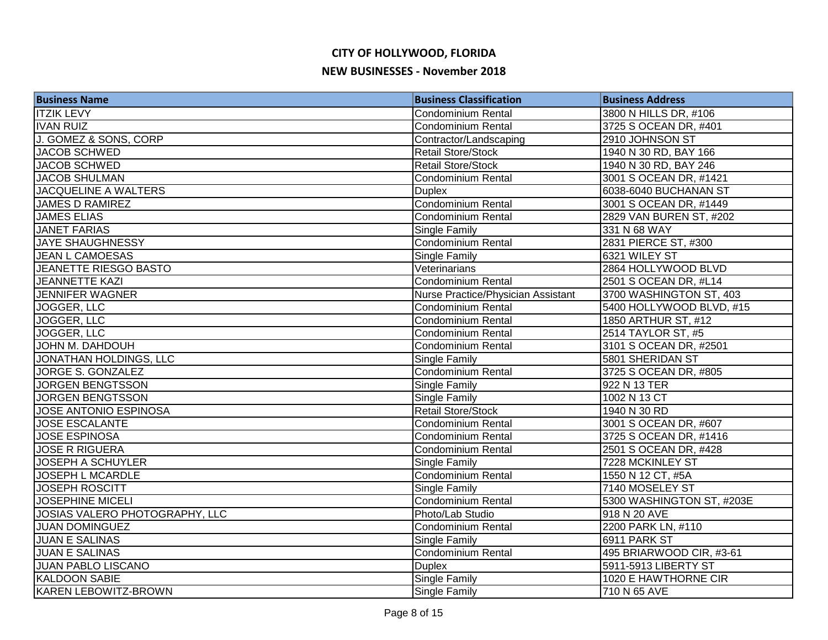| <b>Business Name</b>           | <b>Business Classification</b>     | <b>Business Address</b>   |
|--------------------------------|------------------------------------|---------------------------|
| <b>ITZIK LEVY</b>              | Condominium Rental                 | 3800 N HILLS DR, #106     |
| <b>IVAN RUIZ</b>               | <b>Condominium Rental</b>          | 3725 S OCEAN DR, #401     |
| J. GOMEZ & SONS, CORP          | Contractor/Landscaping             | 2910 JOHNSON ST           |
| <b>JACOB SCHWED</b>            | <b>Retail Store/Stock</b>          | 1940 N 30 RD, BAY 166     |
| <b>JACOB SCHWED</b>            | <b>Retail Store/Stock</b>          | 1940 N 30 RD, BAY 246     |
| <b>JACOB SHULMAN</b>           | <b>Condominium Rental</b>          | 3001 S OCEAN DR, #1421    |
| <b>JACQUELINE A WALTERS</b>    | <b>Duplex</b>                      | 6038-6040 BUCHANAN ST     |
| <b>JAMES D RAMIREZ</b>         | <b>Condominium Rental</b>          | 3001 S OCEAN DR, #1449    |
| <b>JAMES ELIAS</b>             | <b>Condominium Rental</b>          | 2829 VAN BUREN ST, #202   |
| <b>JANET FARIAS</b>            | <b>Single Family</b>               | 331 N 68 WAY              |
| <b>JAYE SHAUGHNESSY</b>        | Condominium Rental                 | 2831 PIERCE ST, #300      |
| <b>JEAN L CAMOESAS</b>         | Single Family                      | 6321 WILEY ST             |
| JEANETTE RIESGO BASTO          | Veterinarians                      | 2864 HOLLYWOOD BLVD       |
| <b>JEANNETTE KAZI</b>          | Condominium Rental                 | 2501 S OCEAN DR, #L14     |
| <b>JENNIFER WAGNER</b>         | Nurse Practice/Physician Assistant | 3700 WASHINGTON ST, 403   |
| JOGGER, LLC                    | <b>Condominium Rental</b>          | 5400 HOLLYWOOD BLVD, #15  |
| JOGGER, LLC                    | <b>Condominium Rental</b>          | 1850 ARTHUR ST, #12       |
| JOGGER, LLC                    | Condominium Rental                 | 2514 TAYLOR ST, #5        |
| JOHN M. DAHDOUH                | Condominium Rental                 | 3101 S OCEAN DR, #2501    |
| JONATHAN HOLDINGS, LLC         | <b>Single Family</b>               | 5801 SHERIDAN ST          |
| JORGE S. GONZALEZ              | Condominium Rental                 | 3725 S OCEAN DR, #805     |
| <b>JORGEN BENGTSSON</b>        | <b>Single Family</b>               | 922 N 13 TER              |
| <b>JORGEN BENGTSSON</b>        | Single Family                      | 1002 N 13 CT              |
| JOSE ANTONIO ESPINOSA          | <b>Retail Store/Stock</b>          | 1940 N 30 RD              |
| <b>JOSE ESCALANTE</b>          | <b>Condominium Rental</b>          | 3001 S OCEAN DR, #607     |
| <b>JOSE ESPINOSA</b>           | <b>Condominium Rental</b>          | 3725 S OCEAN DR, #1416    |
| <b>JOSE R RIGUERA</b>          | <b>Condominium Rental</b>          | 2501 S OCEAN DR, #428     |
| <b>JOSEPH A SCHUYLER</b>       | Single Family                      | 7228 MCKINLEY ST          |
| <b>JOSEPH L MCARDLE</b>        | Condominium Rental                 | 1550 N 12 CT, #5A         |
| <b>JOSEPH ROSCITT</b>          | <b>Single Family</b>               | 7140 MOSELEY ST           |
| <b>JOSEPHINE MICELI</b>        | Condominium Rental                 | 5300 WASHINGTON ST, #203E |
| JOSIAS VALERO PHOTOGRAPHY, LLC | Photo/Lab Studio                   | 918 N 20 AVE              |
| <b>JUAN DOMINGUEZ</b>          | Condominium Rental                 | 2200 PARK LN, #110        |
| <b>JUAN E SALINAS</b>          | <b>Single Family</b>               | 6911 PARK ST              |
| <b>JUAN E SALINAS</b>          | Condominium Rental                 | 495 BRIARWOOD CIR, #3-61  |
| <b>JUAN PABLO LISCANO</b>      | <b>Duplex</b>                      | 5911-5913 LIBERTY ST      |
| <b>KALDOON SABIE</b>           | <b>Single Family</b>               | 1020 E HAWTHORNE CIR      |
| KAREN LEBOWITZ-BROWN           | <b>Single Family</b>               | 710 N 65 AVE              |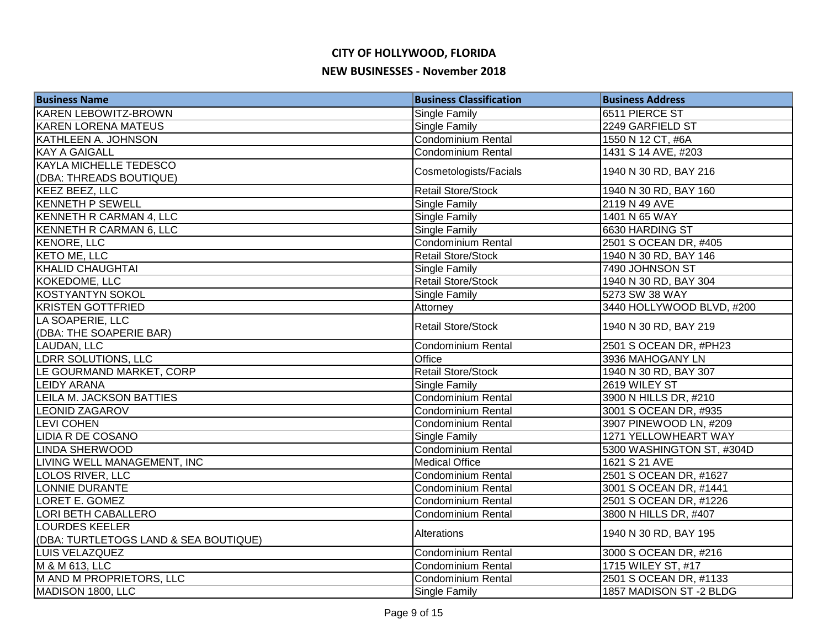| <b>Business Name</b>                  | <b>Business Classification</b> | <b>Business Address</b>   |
|---------------------------------------|--------------------------------|---------------------------|
| <b>KAREN LEBOWITZ-BROWN</b>           | <b>Single Family</b>           | 6511 PIERCE ST            |
| <b>KAREN LORENA MATEUS</b>            | <b>Single Family</b>           | 2249 GARFIELD ST          |
| KATHLEEN A. JOHNSON                   | <b>Condominium Rental</b>      | 1550 N 12 CT, #6A         |
| <b>KAY A GAIGALL</b>                  | <b>Condominium Rental</b>      | 1431 S 14 AVE, #203       |
| <b>KAYLA MICHELLE TEDESCO</b>         |                                | 1940 N 30 RD, BAY 216     |
| (DBA: THREADS BOUTIQUE)               | Cosmetologists/Facials         |                           |
| <b>KEEZ BEEZ, LLC</b>                 | <b>Retail Store/Stock</b>      | 1940 N 30 RD, BAY 160     |
| <b>KENNETH P SEWELL</b>               | <b>Single Family</b>           | 2119 N 49 AVE             |
| KENNETH R CARMAN 4, LLC               | <b>Single Family</b>           | 1401 N 65 WAY             |
| KENNETH R CARMAN 6, LLC               | <b>Single Family</b>           | 6630 HARDING ST           |
| KENORE, LLC                           | Condominium Rental             | 2501 S OCEAN DR, #405     |
| <b>KETO ME, LLC</b>                   | <b>Retail Store/Stock</b>      | 1940 N 30 RD, BAY 146     |
| KHALID CHAUGHTAI                      | <b>Single Family</b>           | 7490 JOHNSON ST           |
| KOKEDOME, LLC                         | <b>Retail Store/Stock</b>      | 1940 N 30 RD, BAY 304     |
| KOSTYANTYN SOKOL                      | Single Family                  | 5273 SW 38 WAY            |
| <b>KRISTEN GOTTFRIED</b>              | Attorney                       | 3440 HOLLYWOOD BLVD, #200 |
| LA SOAPERIE, LLC                      | <b>Retail Store/Stock</b>      |                           |
| (DBA: THE SOAPERIE BAR)               |                                | 1940 N 30 RD, BAY 219     |
| LAUDAN, LLC                           | Condominium Rental             | 2501 S OCEAN DR, #PH23    |
| LDRR SOLUTIONS, LLC                   | Office                         | 3936 MAHOGANY LN          |
| LE GOURMAND MARKET, CORP              | Retail Store/Stock             | 1940 N 30 RD, BAY 307     |
| <b>LEIDY ARANA</b>                    | Single Family                  | 2619 WILEY ST             |
| LEILA M. JACKSON BATTIES              | Condominium Rental             | 3900 N HILLS DR, #210     |
| <b>LEONID ZAGAROV</b>                 | <b>Condominium Rental</b>      | 3001 S OCEAN DR, #935     |
| <b>LEVI COHEN</b>                     | <b>Condominium Rental</b>      | 3907 PINEWOOD LN, #209    |
| <b>LIDIA R DE COSANO</b>              | Single Family                  | 1271 YELLOWHEART WAY      |
| <b>LINDA SHERWOOD</b>                 | <b>Condominium Rental</b>      | 5300 WASHINGTON ST, #304D |
| LIVING WELL MANAGEMENT, INC           | <b>Medical Office</b>          | 1621 S 21 AVE             |
| <b>LOLOS RIVER, LLC</b>               | Condominium Rental             | 2501 S OCEAN DR, #1627    |
| LONNIE DURANTE                        | Condominium Rental             | 3001 S OCEAN DR, #1441    |
| LORET E. GOMEZ                        | <b>Condominium Rental</b>      | 2501 S OCEAN DR, #1226    |
| <b>LORI BETH CABALLERO</b>            | Condominium Rental             | 3800 N HILLS DR, #407     |
| <b>LOURDES KEELER</b>                 | Alterations                    | 1940 N 30 RD, BAY 195     |
| (DBA: TURTLETOGS LAND & SEA BOUTIQUE) |                                |                           |
| LUIS VELAZQUEZ                        | Condominium Rental             | 3000 S OCEAN DR, #216     |
| M & M 613, LLC                        | <b>Condominium Rental</b>      | 1715 WILEY ST, #17        |
| M AND M PROPRIETORS, LLC              | <b>Condominium Rental</b>      | 2501 S OCEAN DR, #1133    |
| MADISON 1800, LLC                     | <b>Single Family</b>           | 1857 MADISON ST-2 BLDG    |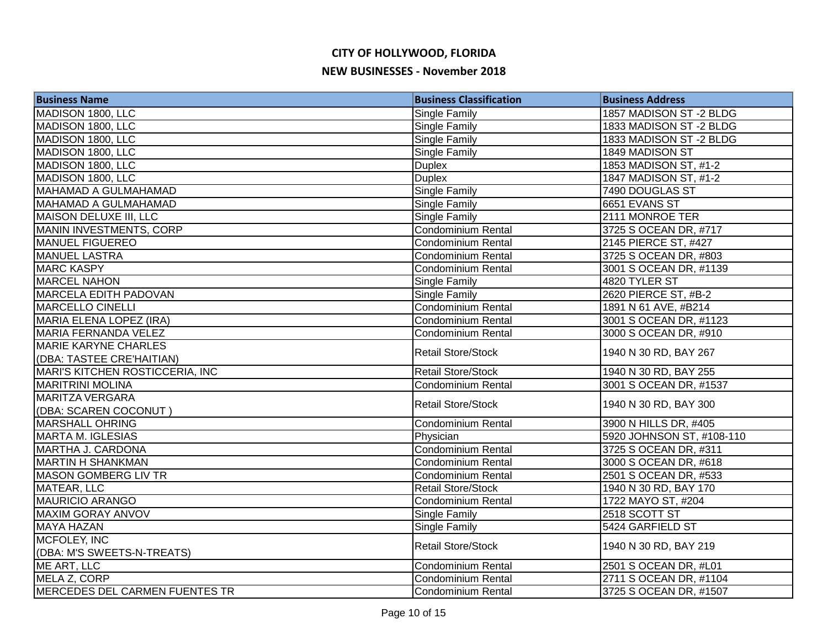| <b>Business Name</b>                  | <b>Business Classification</b> | <b>Business Address</b>   |
|---------------------------------------|--------------------------------|---------------------------|
| MADISON 1800, LLC                     | <b>Single Family</b>           | 1857 MADISON ST-2 BLDG    |
| MADISON 1800, LLC                     | <b>Single Family</b>           | 1833 MADISON ST-2 BLDG    |
| MADISON 1800, LLC                     | <b>Single Family</b>           | 1833 MADISON ST-2 BLDG    |
| MADISON 1800, LLC                     | Single Family                  | 1849 MADISON ST           |
| MADISON 1800, LLC                     | <b>Duplex</b>                  | 1853 MADISON ST, #1-2     |
| MADISON 1800, LLC                     | <b>Duplex</b>                  | 1847 MADISON ST, #1-2     |
| <b>MAHAMAD A GULMAHAMAD</b>           | <b>Single Family</b>           | 7490 DOUGLAS ST           |
| <b>MAHAMAD A GULMAHAMAD</b>           | <b>Single Family</b>           | 6651 EVANS ST             |
| MAISON DELUXE III, LLC                | <b>Single Family</b>           | 2111 MONROE TER           |
| <b>MANIN INVESTMENTS, CORP</b>        | Condominium Rental             | 3725 S OCEAN DR, #717     |
| <b>MANUEL FIGUEREO</b>                | Condominium Rental             | 2145 PIERCE ST, #427      |
| MANUEL LASTRA                         | Condominium Rental             | 3725 S OCEAN DR, #803     |
| <b>MARC KASPY</b>                     | <b>Condominium Rental</b>      | 3001 S OCEAN DR, #1139    |
| MARCEL NAHON                          | Single Family                  | 4820 TYLER ST             |
| <b>MARCELA EDITH PADOVAN</b>          | Single Family                  | 2620 PIERCE ST, #B-2      |
| <b>MARCELLO CINELLI</b>               | Condominium Rental             | 1891 N 61 AVE, #B214      |
| MARIA ELENA LOPEZ (IRA)               | <b>Condominium Rental</b>      | 3001 S OCEAN DR, #1123    |
| MARIA FERNANDA VELEZ                  | Condominium Rental             | 3000 S OCEAN DR, #910     |
| <b>MARIE KARYNE CHARLES</b>           | <b>Retail Store/Stock</b>      | 1940 N 30 RD, BAY 267     |
| (DBA: TASTEE CRE'HAITIAN)             |                                |                           |
| MARI'S KITCHEN ROSTICCERIA, INC       | <b>Retail Store/Stock</b>      | 1940 N 30 RD, BAY 255     |
| <b>MARITRINI MOLINA</b>               | <b>Condominium Rental</b>      | 3001 S OCEAN DR, #1537    |
| <b>MARITZA VERGARA</b>                | <b>Retail Store/Stock</b>      | 1940 N 30 RD, BAY 300     |
| (DBA: SCAREN COCONUT)                 |                                |                           |
| <b>MARSHALL OHRING</b>                | Condominium Rental             | 3900 N HILLS DR, #405     |
| MARTA M. IGLESIAS                     | Physician                      | 5920 JOHNSON ST, #108-110 |
| <b>MARTHA J. CARDONA</b>              | <b>Condominium Rental</b>      | 3725 S OCEAN DR, #311     |
| <b>MARTIN H SHANKMAN</b>              | <b>Condominium Rental</b>      | 3000 S OCEAN DR, #618     |
| <b>MASON GOMBERG LIV TR</b>           | Condominium Rental             | 2501 S OCEAN DR, #533     |
| MATEAR, LLC                           | <b>Retail Store/Stock</b>      | 1940 N 30 RD, BAY 170     |
| <b>MAURICIO ARANGO</b>                | Condominium Rental             | 1722 MAYO ST, #204        |
| <b>MAXIM GORAY ANVOV</b>              | <b>Single Family</b>           | 2518 SCOTT ST             |
| MAYA HAZAN                            | Single Family                  | 5424 GARFIELD ST          |
| MCFOLEY, INC                          | <b>Retail Store/Stock</b>      | 1940 N 30 RD, BAY 219     |
| (DBA: M'S SWEETS-N-TREATS)            |                                |                           |
| ME ART, LLC                           | Condominium Rental             | 2501 S OCEAN DR, #L01     |
| MELA Z, CORP                          | <b>Condominium Rental</b>      | 2711 S OCEAN DR, #1104    |
| <b>MERCEDES DEL CARMEN FUENTES TR</b> | <b>Condominium Rental</b>      | 3725 S OCEAN DR, #1507    |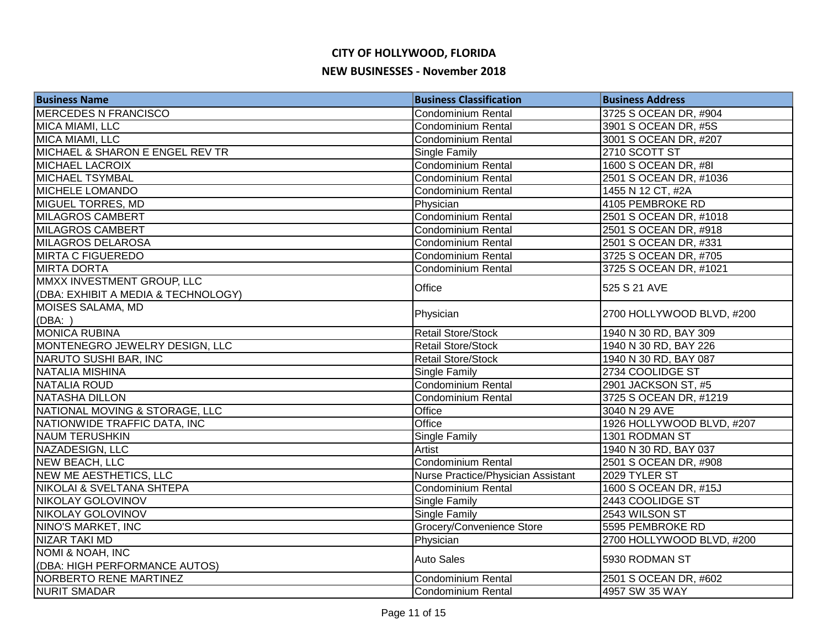| <b>Business Name</b>                | <b>Business Classification</b>     | <b>Business Address</b>   |
|-------------------------------------|------------------------------------|---------------------------|
| <b>MERCEDES N FRANCISCO</b>         | Condominium Rental                 | 3725 S OCEAN DR, #904     |
| MICA MIAMI, LLC                     | <b>Condominium Rental</b>          | 3901 S OCEAN DR, #5S      |
| MICA MIAMI, LLC                     | Condominium Rental                 | 3001 S OCEAN DR, #207     |
| MICHAEL & SHARON E ENGEL REV TR     | Single Family                      | 2710 SCOTT ST             |
| <b>MICHAEL LACROIX</b>              | Condominium Rental                 | 1600 S OCEAN DR, #8I      |
| <b>MICHAEL TSYMBAL</b>              | <b>Condominium Rental</b>          | 2501 S OCEAN DR, #1036    |
| <b>MICHELE LOMANDO</b>              | Condominium Rental                 | 1455 N 12 CT, #2A         |
| <b>MIGUEL TORRES, MD</b>            | Physician                          | 4105 PEMBROKE RD          |
| MILAGROS CAMBERT                    | Condominium Rental                 | 2501 S OCEAN DR, #1018    |
| <b>MILAGROS CAMBERT</b>             | Condominium Rental                 | 2501 S OCEAN DR, #918     |
| <b>MILAGROS DELAROSA</b>            | Condominium Rental                 | 2501 S OCEAN DR, #331     |
| <b>MIRTA C FIGUEREDO</b>            | <b>Condominium Rental</b>          | 3725 S OCEAN DR, #705     |
| <b>MIRTA DORTA</b>                  | <b>Condominium Rental</b>          | 3725 S OCEAN DR, #1021    |
| MMXX INVESTMENT GROUP, LLC          | Office                             | 525 S 21 AVE              |
| (DBA: EXHIBIT A MEDIA & TECHNOLOGY) |                                    |                           |
| MOISES SALAMA, MD                   |                                    | 2700 HOLLYWOOD BLVD, #200 |
| (DBA: )                             | Physician                          |                           |
| <b>MONICA RUBINA</b>                | <b>Retail Store/Stock</b>          | 1940 N 30 RD, BAY 309     |
| MONTENEGRO JEWELRY DESIGN, LLC      | <b>Retail Store/Stock</b>          | 1940 N 30 RD, BAY 226     |
| NARUTO SUSHI BAR, INC               | <b>Retail Store/Stock</b>          | 1940 N 30 RD, BAY 087     |
| NATALIA MISHINA                     | <b>Single Family</b>               | 2734 COOLIDGE ST          |
| NATALIA ROUD                        | Condominium Rental                 | 2901 JACKSON ST, #5       |
| NATASHA DILLON                      | Condominium Rental                 | 3725 S OCEAN DR, #1219    |
| NATIONAL MOVING & STORAGE, LLC      | Office                             | 3040 N 29 AVE             |
| NATIONWIDE TRAFFIC DATA, INC        | Office                             | 1926 HOLLYWOOD BLVD, #207 |
| <b>NAUM TERUSHKIN</b>               | Single Family                      | 1301 RODMAN ST            |
| NAZADESIGN, LLC                     | Artist                             | 1940 N 30 RD, BAY 037     |
| <b>NEW BEACH, LLC</b>               | Condominium Rental                 | 2501 S OCEAN DR, #908     |
| <b>NEW ME AESTHETICS, LLC</b>       | Nurse Practice/Physician Assistant | 2029 TYLER ST             |
| NIKOLAI & SVELTANA SHTEPA           | Condominium Rental                 | 1600 S OCEAN DR, #15J     |
| NIKOLAY GOLOVINOV                   | <b>Single Family</b>               | 2443 COOLIDGE ST          |
| NIKOLAY GOLOVINOV                   | <b>Single Family</b>               | 2543 WILSON ST            |
| NINO'S MARKET, INC                  | Grocery/Convenience Store          | 5595 PEMBROKE RD          |
| <b>NIZAR TAKI MD</b>                | Physician                          | 2700 HOLLYWOOD BLVD, #200 |
| <b>NOMI &amp; NOAH, INC</b>         | <b>Auto Sales</b>                  | 5930 RODMAN ST            |
| (DBA: HIGH PERFORMANCE AUTOS)       |                                    |                           |
| NORBERTO RENE MARTINEZ              | <b>Condominium Rental</b>          | 2501 S OCEAN DR, #602     |
| <b>NURIT SMADAR</b>                 | <b>Condominium Rental</b>          | 4957 SW 35 WAY            |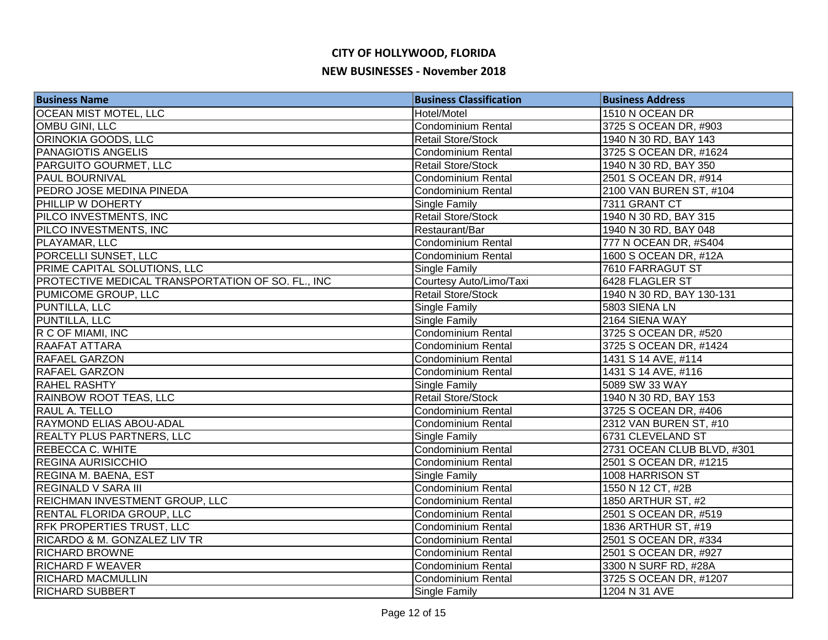| <b>Business Name</b>                              | <b>Business Classification</b> | <b>Business Address</b>    |
|---------------------------------------------------|--------------------------------|----------------------------|
| <b>OCEAN MIST MOTEL, LLC</b>                      | Hotel/Motel                    | 1510 N OCEAN DR            |
| OMBU GINI, LLC                                    | Condominium Rental             | 3725 S OCEAN DR, #903      |
| ORINOKIA GOODS, LLC                               | <b>Retail Store/Stock</b>      | 1940 N 30 RD, BAY 143      |
| <b>PANAGIOTIS ANGELIS</b>                         | Condominium Rental             | 3725 S OCEAN DR, #1624     |
| <b>PARGUITO GOURMET, LLC</b>                      | <b>Retail Store/Stock</b>      | 1940 N 30 RD, BAY 350      |
| <b>PAUL BOURNIVAL</b>                             | Condominium Rental             | 2501 S OCEAN DR, #914      |
| PEDRO JOSE MEDINA PINEDA                          | <b>Condominium Rental</b>      | 2100 VAN BUREN ST, #104    |
| PHILLIP W DOHERTY                                 | Single Family                  | 7311 GRANT CT              |
| PILCO INVESTMENTS, INC                            | Retail Store/Stock             | 1940 N 30 RD, BAY 315      |
| PILCO INVESTMENTS, INC                            | Restaurant/Bar                 | 1940 N 30 RD, BAY 048      |
| PLAYAMAR, LLC                                     | Condominium Rental             | 777 N OCEAN DR, #S404      |
| PORCELLI SUNSET, LLC                              | <b>Condominium Rental</b>      | 1600 S OCEAN DR, #12A      |
| PRIME CAPITAL SOLUTIONS, LLC                      | Single Family                  | 7610 FARRAGUT ST           |
| PROTECTIVE MEDICAL TRANSPORTATION OF SO. FL., INC | Courtesy Auto/Limo/Taxi        | 6428 FLAGLER ST            |
| PUMICOME GROUP, LLC                               | <b>Retail Store/Stock</b>      | 1940 N 30 RD, BAY 130-131  |
| PUNTILLA, LLC                                     | Single Family                  | 5803 SIENA LN              |
| PUNTILLA, LLC                                     | Single Family                  | 2164 SIENA WAY             |
| R C OF MIAMI, INC                                 | <b>Condominium Rental</b>      | 3725 S OCEAN DR, #520      |
| <b>RAAFAT ATTARA</b>                              | Condominium Rental             | 3725 S OCEAN DR, #1424     |
| RAFAEL GARZON                                     | Condominium Rental             | 1431 S 14 AVE, #114        |
| <b>RAFAEL GARZON</b>                              | Condominium Rental             | 1431 S 14 AVE, #116        |
| <b>RAHEL RASHTY</b>                               | Single Family                  | 5089 SW 33 WAY             |
| RAINBOW ROOT TEAS, LLC                            | <b>Retail Store/Stock</b>      | 1940 N 30 RD, BAY 153      |
| <b>RAUL A. TELLO</b>                              | <b>Condominium Rental</b>      | 3725 S OCEAN DR, #406      |
| <b>RAYMOND ELIAS ABOU-ADAL</b>                    | <b>Condominium Rental</b>      | 2312 VAN BUREN ST, #10     |
| <b>REALTY PLUS PARTNERS, LLC</b>                  | Single Family                  | 6731 CLEVELAND ST          |
| <b>REBECCA C. WHITE</b>                           | <b>Condominium Rental</b>      | 2731 OCEAN CLUB BLVD, #301 |
| <b>REGINA AURISICCHIO</b>                         | <b>Condominium Rental</b>      | 2501 S OCEAN DR, #1215     |
| <b>REGINA M. BAENA, EST</b>                       | Single Family                  | 1008 HARRISON ST           |
| <b>REGINALD V SARA III</b>                        | Condominium Rental             | 1550 N 12 CT, #2B          |
| REICHMAN INVESTMENT GROUP, LLC                    | Condominium Rental             | 1850 ARTHUR ST, #2         |
| <b>RENTAL FLORIDA GROUP, LLC</b>                  | <b>Condominium Rental</b>      | 2501 S OCEAN DR, #519      |
| <b>RFK PROPERTIES TRUST, LLC</b>                  | <b>Condominium Rental</b>      | 1836 ARTHUR ST, #19        |
| <b>RICARDO &amp; M. GONZALEZ LIV TR</b>           | Condominium Rental             | 2501 S OCEAN DR, #334      |
| <b>RICHARD BROWNE</b>                             | <b>Condominium Rental</b>      | 2501 S OCEAN DR, #927      |
| <b>RICHARD F WEAVER</b>                           | <b>Condominium Rental</b>      | 3300 N SURF RD, #28A       |
| <b>RICHARD MACMULLIN</b>                          | <b>Condominium Rental</b>      | 3725 S OCEAN DR, #1207     |
| <b>RICHARD SUBBERT</b>                            | Single Family                  | 1204 N 31 AVE              |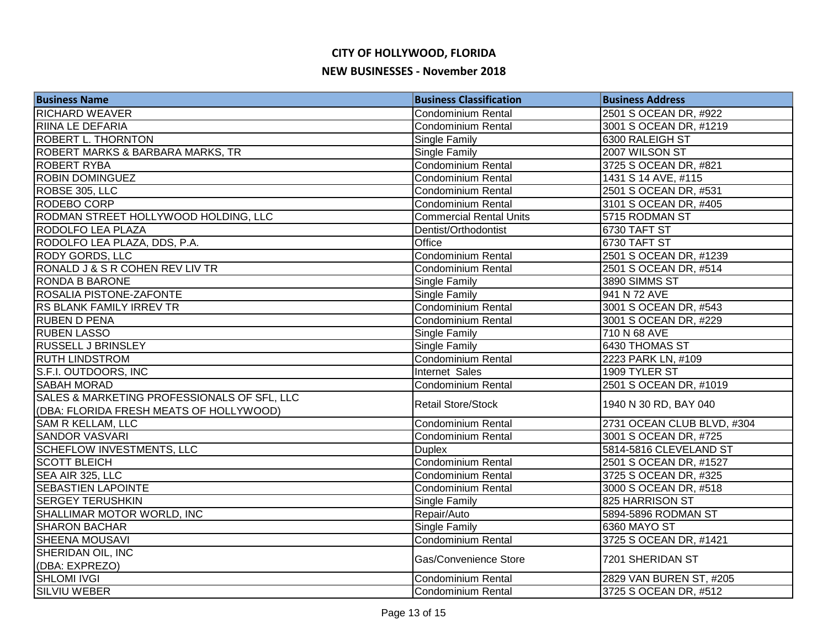| <b>Business Name</b>                                                                   | <b>Business Classification</b> | <b>Business Address</b>    |
|----------------------------------------------------------------------------------------|--------------------------------|----------------------------|
| <b>RICHARD WEAVER</b>                                                                  | Condominium Rental             | 2501 S OCEAN DR, #922      |
| <b>RIINA LE DEFARIA</b>                                                                | <b>Condominium Rental</b>      | 3001 S OCEAN DR, #1219     |
| <b>ROBERT L. THORNTON</b>                                                              | Single Family                  | 6300 RALEIGH ST            |
| ROBERT MARKS & BARBARA MARKS, TR                                                       | Single Family                  | 2007 WILSON ST             |
| <b>ROBERT RYBA</b>                                                                     | Condominium Rental             | 3725 S OCEAN DR, #821      |
| <b>ROBIN DOMINGUEZ</b>                                                                 | <b>Condominium Rental</b>      | 1431 S 14 AVE, #115        |
| ROBSE 305, LLC                                                                         | <b>Condominium Rental</b>      | 2501 S OCEAN DR, #531      |
| <b>RODEBO CORP</b>                                                                     | <b>Condominium Rental</b>      | 3101 S OCEAN DR, #405      |
| RODMAN STREET HOLLYWOOD HOLDING, LLC                                                   | <b>Commercial Rental Units</b> | 5715 RODMAN ST             |
| <b>RODOLFO LEA PLAZA</b>                                                               | Dentist/Orthodontist           | 6730 TAFT ST               |
| RODOLFO LEA PLAZA, DDS, P.A.                                                           | Office                         | 6730 TAFT ST               |
| <b>RODY GORDS, LLC</b>                                                                 | Condominium Rental             | 2501 S OCEAN DR, #1239     |
| RONALD J & S R COHEN REV LIV TR                                                        | Condominium Rental             | 2501 S OCEAN DR, #514      |
| <b>RONDA B BARONE</b>                                                                  | Single Family                  | 3890 SIMMS ST              |
| <b>ROSALIA PISTONE-ZAFONTE</b>                                                         | Single Family                  | 941 N 72 AVE               |
| RS BLANK FAMILY IRREV TR                                                               | <b>Condominium Rental</b>      | 3001 S OCEAN DR, #543      |
| <b>RUBEN D PENA</b>                                                                    | Condominium Rental             | 3001 S OCEAN DR, #229      |
| <b>RUBEN LASSO</b>                                                                     | Single Family                  | 710 N 68 AVE               |
| <b>RUSSELL J BRINSLEY</b>                                                              | <b>Single Family</b>           | 6430 THOMAS ST             |
| <b>RUTH LINDSTROM</b>                                                                  | Condominium Rental             | 2223 PARK LN, #109         |
| S.F.I. OUTDOORS, INC                                                                   | Internet Sales                 | 1909 TYLER ST              |
| <b>SABAH MORAD</b>                                                                     | Condominium Rental             | 2501 S OCEAN DR, #1019     |
| SALES & MARKETING PROFESSIONALS OF SFL, LLC<br>(DBA: FLORIDA FRESH MEATS OF HOLLYWOOD) | <b>Retail Store/Stock</b>      | 1940 N 30 RD, BAY 040      |
| <b>SAM R KELLAM, LLC</b>                                                               | Condominium Rental             | 2731 OCEAN CLUB BLVD, #304 |
| <b>SANDOR VASVARI</b>                                                                  | <b>Condominium Rental</b>      | 3001 S OCEAN DR, #725      |
| <b>SCHEFLOW INVESTMENTS, LLC</b>                                                       | <b>Duplex</b>                  | 5814-5816 CLEVELAND ST     |
| <b>SCOTT BLEICH</b>                                                                    | Condominium Rental             | 2501 S OCEAN DR, #1527     |
| SEA AIR 325, LLC                                                                       | Condominium Rental             | 3725 S OCEAN DR, #325      |
| <b>SEBASTIEN LAPOINTE</b>                                                              | Condominium Rental             | 3000 S OCEAN DR, #518      |
| <b>SERGEY TERUSHKIN</b>                                                                | <b>Single Family</b>           | 825 HARRISON ST            |
| SHALLIMAR MOTOR WORLD, INC                                                             | Repair/Auto                    | 5894-5896 RODMAN ST        |
| <b>SHARON BACHAR</b>                                                                   | <b>Single Family</b>           | 6360 MAYO ST               |
| <b>SHEENA MOUSAVI</b>                                                                  | Condominium Rental             | 3725 S OCEAN DR, #1421     |
| SHERIDAN OIL, INC                                                                      | Gas/Convenience Store          | 7201 SHERIDAN ST           |
| (DBA: EXPREZO)                                                                         |                                |                            |
| <b>SHLOMI IVGI</b>                                                                     | Condominium Rental             | 2829 VAN BUREN ST, #205    |
| <b>SILVIU WEBER</b>                                                                    | Condominium Rental             | 3725 S OCEAN DR, #512      |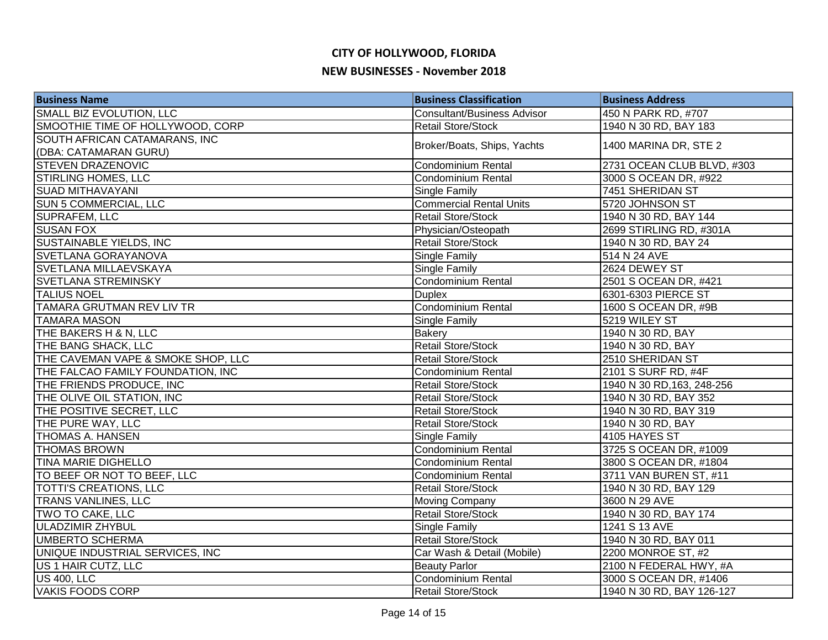| <b>Business Name</b>               | <b>Business Classification</b>     | <b>Business Address</b>    |
|------------------------------------|------------------------------------|----------------------------|
| SMALL BIZ EVOLUTION, LLC           | <b>Consultant/Business Advisor</b> | 450 N PARK RD, #707        |
| SMOOTHIE TIME OF HOLLYWOOD, CORP   | <b>Retail Store/Stock</b>          | 1940 N 30 RD, BAY 183      |
| SOUTH AFRICAN CATAMARANS, INC      | Broker/Boats, Ships, Yachts        | 1400 MARINA DR, STE 2      |
| (DBA: CATAMARAN GURU)              |                                    |                            |
| <b>STEVEN DRAZENOVIC</b>           | <b>Condominium Rental</b>          | 2731 OCEAN CLUB BLVD, #303 |
| <b>STIRLING HOMES, LLC</b>         | <b>Condominium Rental</b>          | 3000 S OCEAN DR, #922      |
| <b>SUAD MITHAVAYANI</b>            | Single Family                      | 7451 SHERIDAN ST           |
| <b>SUN 5 COMMERCIAL, LLC</b>       | <b>Commercial Rental Units</b>     | 5720 JOHNSON ST            |
| <b>SUPRAFEM, LLC</b>               | <b>Retail Store/Stock</b>          | 1940 N 30 RD, BAY 144      |
| <b>SUSAN FOX</b>                   | Physician/Osteopath                | 2699 STIRLING RD, #301A    |
| <b>SUSTAINABLE YIELDS, INC</b>     | <b>Retail Store/Stock</b>          | 1940 N 30 RD, BAY 24       |
| SVETLANA GORAYANOVA                | <b>Single Family</b>               | 514 N 24 AVE               |
| SVETLANA MILLAEVSKAYA              | Single Family                      | 2624 DEWEY ST              |
| <b>SVETLANA STREMINSKY</b>         | <b>Condominium Rental</b>          | 2501 S OCEAN DR, #421      |
| <b>TALIUS NOEL</b>                 | <b>Duplex</b>                      | 6301-6303 PIERCE ST        |
| TAMARA GRUTMAN REV LIV TR          | Condominium Rental                 | 1600 S OCEAN DR, #9B       |
| <b>TAMARA MASON</b>                | Single Family                      | 5219 WILEY ST              |
| THE BAKERS H & N, LLC              | <b>Bakery</b>                      | 1940 N 30 RD, BAY          |
| THE BANG SHACK, LLC                | <b>Retail Store/Stock</b>          | 1940 N 30 RD, BAY          |
| THE CAVEMAN VAPE & SMOKE SHOP, LLC | <b>Retail Store/Stock</b>          | 2510 SHERIDAN ST           |
| THE FALCAO FAMILY FOUNDATION, INC  | Condominium Rental                 | 2101 S SURF RD, #4F        |
| THE FRIENDS PRODUCE, INC           | Retail Store/Stock                 | 1940 N 30 RD, 163, 248-256 |
| THE OLIVE OIL STATION, INC         | <b>Retail Store/Stock</b>          | 1940 N 30 RD, BAY 352      |
| THE POSITIVE SECRET, LLC           | <b>Retail Store/Stock</b>          | 1940 N 30 RD, BAY 319      |
| THE PURE WAY, LLC                  | <b>Retail Store/Stock</b>          | 1940 N 30 RD, BAY          |
| <b>THOMAS A. HANSEN</b>            | Single Family                      | 4105 HAYES ST              |
| <b>THOMAS BROWN</b>                | <b>Condominium Rental</b>          | 3725 S OCEAN DR, #1009     |
| <b>TINA MARIE DIGHELLO</b>         | <b>Condominium Rental</b>          | 3800 S OCEAN DR, #1804     |
| TO BEEF OR NOT TO BEEF, LLC        | Condominium Rental                 | 3711 VAN BUREN ST, #11     |
| <b>TOTTI'S CREATIONS, LLC</b>      | <b>Retail Store/Stock</b>          | 1940 N 30 RD, BAY 129      |
| <b>TRANS VANLINES, LLC</b>         | <b>Moving Company</b>              | 3600 N 29 AVE              |
| TWO TO CAKE, LLC                   | <b>Retail Store/Stock</b>          | 1940 N 30 RD, BAY 174      |
| <b>ULADZIMIR ZHYBUL</b>            | Single Family                      | 1241 S 13 AVE              |
| <b>UMBERTO SCHERMA</b>             | <b>Retail Store/Stock</b>          | 1940 N 30 RD, BAY 011      |
| UNIQUE INDUSTRIAL SERVICES, INC    | Car Wash & Detail (Mobile)         | 2200 MONROE ST, #2         |
| US 1 HAIR CUTZ, LLC                | <b>Beauty Parlor</b>               | 2100 N FEDERAL HWY, #A     |
| <b>US 400, LLC</b>                 | Condominium Rental                 | 3000 S OCEAN DR, #1406     |
| <b>VAKIS FOODS CORP</b>            | <b>Retail Store/Stock</b>          | 1940 N 30 RD, BAY 126-127  |